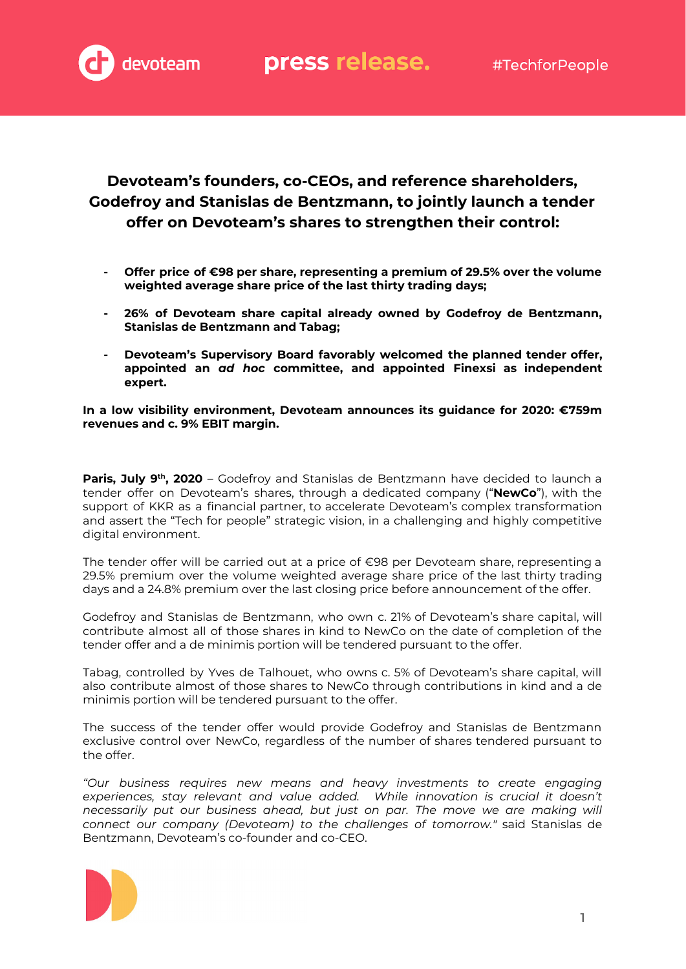

# **Devoteam's founders, co-CEOs, and reference shareholders, Godefroy and Stanislas de Bentzmann, to jointly launch a tender offer on Devoteam's shares to strengthen their control:**

- **- Offer price of €98 per share, representing a premium of 29.5% over the volume weighted average share price of the last thirty trading days;**
- **- 26% of Devoteam share capital already owned by Godefroy de Bentzmann, Stanislas de Bentzmann and Tabag;**
- **- Devoteam's Supervisory Board favorably welcomed the planned tender offer, appointed an** *ad hoc* **committee, and appointed Finexsi as independent expert.**

**In a low visibility environment, Devoteam announces its guidance for 2020: €759m revenues and c. 9% EBIT margin.**

**Paris, July 9 th , 2020** – Godefroy and Stanislas de Bentzmann have decided to launch a tender offer on Devoteam's shares, through a dedicated company ("**NewCo**"), with the support of KKR as a financial partner, to accelerate Devoteam's complex transformation and assert the "Tech for people" strategic vision, in a challenging and highly competitive digital environment.

The tender offer will be carried out at a price of €98 per Devoteam share, representing a 29.5% premium over the volume weighted average share price of the last thirty trading days and a 24.8% premium over the last closing price before announcement of the offer.

Godefroy and Stanislas de Bentzmann, who own c. 21% of Devoteam's share capital, will contribute almost all of those shares in kind to NewCo on the date of completion of the tender offer and a de minimis portion will be tendered pursuant to the offer.

Tabag, controlled by Yves de Talhouet, who owns c. 5% of Devoteam's share capital, will also contribute almost of those shares to NewCo through contributions in kind and a de minimis portion will be tendered pursuant to the offer.

The success of the tender offer would provide Godefroy and Stanislas de Bentzmann exclusive control over NewCo, regardless of the number of shares tendered pursuant to the offer.

*"Our business requires new means and heavy investments to create engaging experiences, stay relevant and value added. While innovation is crucial it doesn't necessarily put our business ahead, but just on par. The move we are making will connect our company (Devoteam) to the challenges of tomorrow."* said Stanislas de Bentzmann, Devoteam's co-founder and co-CEO.

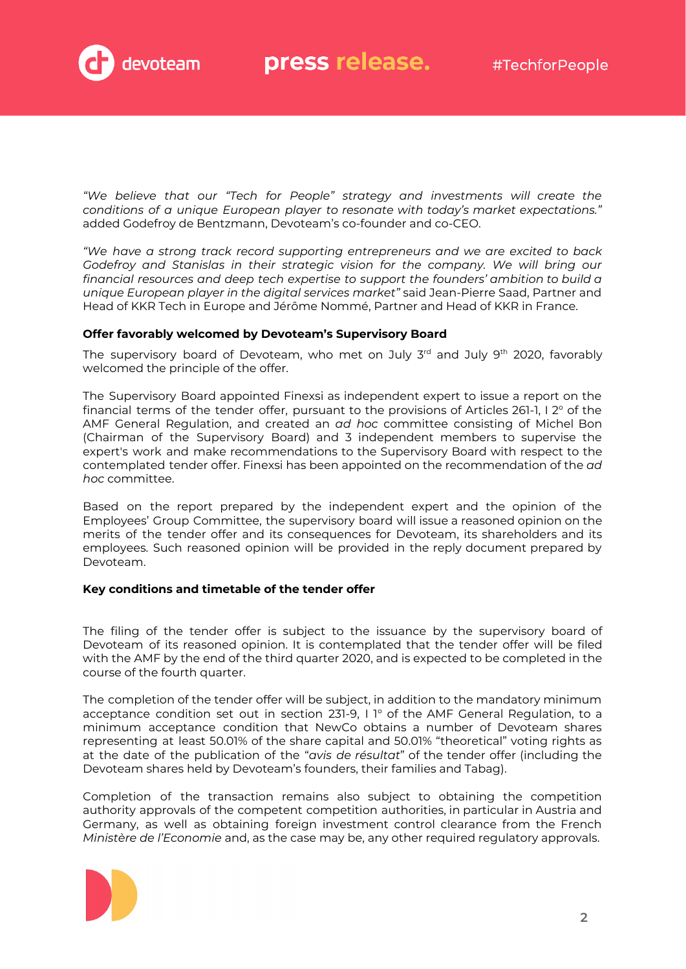

*"We believe that our "Tech for People" strategy and investments will create the conditions of a unique European player to resonate with today's market expectations."* added Godefroy de Bentzmann, Devoteam's co-founder and co-CEO.

*"We have a strong track record supporting entrepreneurs and we are excited to back Godefroy and Stanislas in their strategic vision for the company. We will bring our financial resources and deep tech expertise to support the founders' ambition to build a unique European player in the digital services market"* said Jean-Pierre Saad, Partner and Head of KKR Tech in Europe and Jérôme Nommé, Partner and Head of KKR in France.

## **Offer favorably welcomed by Devoteam's Supervisory Board**

The supervisory board of Devoteam, who met on July 3<sup>rd</sup> and July 9<sup>th</sup> 2020, favorably welcomed the principle of the offer.

The Supervisory Board appointed Finexsi as independent expert to issue a report on the financial terms of the tender offer, pursuant to the provisions of Articles 261-1, I 2° of the AMF General Regulation, and created an *ad hoc* committee consisting of Michel Bon (Chairman of the Supervisory Board) and 3 independent members to supervise the expert's work and make recommendations to the Supervisory Board with respect to the contemplated tender offer. Finexsi has been appointed on the recommendation of the *ad hoc* committee.

Based on the report prepared by the independent expert and the opinion of the Employees' Group Committee, the supervisory board will issue a reasoned opinion on the merits of the tender offer and its consequences for Devoteam, its shareholders and its employees. Such reasoned opinion will be provided in the reply document prepared by Devoteam.

# **Key conditions and timetable of the tender offer**

The filing of the tender offer is subject to the issuance by the supervisory board of Devoteam of its reasoned opinion. It is contemplated that the tender offer will be filed with the AMF by the end of the third quarter 2020, and is expected to be completed in the course of the fourth quarter.

The completion of the tender offer will be subject, in addition to the mandatory minimum acceptance condition set out in section 231-9, I 1° of the AMF General Regulation, to a minimum acceptance condition that NewCo obtains a number of Devoteam shares representing at least 50.01% of the share capital and 50.01% "theoretical" voting rights as at the date of the publication of the "*avis de résultat*" of the tender offer (including the Devoteam shares held by Devoteam's founders, their families and Tabag).

Completion of the transaction remains also subject to obtaining the competition authority approvals of the competent competition authorities, in particular in Austria and Germany, as well as obtaining foreign investment control clearance from the French *Ministère de l'Economie* and, as the case may be, any other required regulatory approvals.